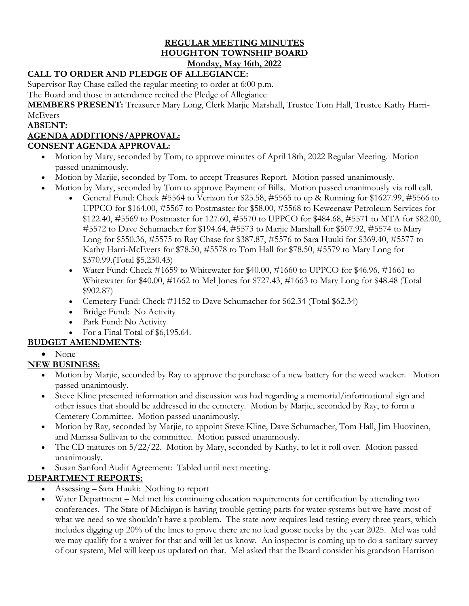#### **REGULAR MEETING MINUTES HOUGHTON TOWNSHIP BOARD Monday, May 16th, 2022**

## **CALL TO ORDER AND PLEDGE OF ALLEGIANCE:**

Supervisor Ray Chase called the regular meeting to order at 6:00 p.m.

The Board and those in attendance recited the Pledge of Allegiance

**MEMBERS PRESENT:** Treasurer Mary Long, Clerk Marjie Marshall, Trustee Tom Hall, Trustee Kathy Harri-**McEvers** 

**ABSENT:**

### **AGENDA ADDITIONS/APPROVAL:**

#### **CONSENT AGENDA APPROVAL:**

- Motion by Mary, seconded by Tom, to approve minutes of April 18th, 2022 Regular Meeting. Motion passed unanimously.
- Motion by Marjie, seconded by Tom, to accept Treasures Report. Motion passed unanimously.
- Motion by Mary, seconded by Tom to approve Payment of Bills. Motion passed unanimously via roll call.
	- General Fund: Check #5564 to Verizon for \$25.58, #5565 to up & Running for \$1627.99, #5566 to UPPCO for \$164.00, #5567 to Postmaster for \$58.00, #5568 to Keweenaw Petroleum Services for \$122.40, #5569 to Postmaster for 127.60, #5570 to UPPCO for \$484.68, #5571 to MTA for \$82.00, #5572 to Dave Schumacher for \$194.64, #5573 to Marjie Marshall for \$507.92, #5574 to Mary Long for \$550.36, #5575 to Ray Chase for \$387.87, #5576 to Sara Huuki for \$369.40, #5577 to Kathy Harri-McEvers for \$78.50, #5578 to Tom Hall for \$78.50, #5579 to Mary Long for \$370.99.(Total \$5,230.43)
	- Water Fund: Check #1659 to Whitewater for \$40.00, #1660 to UPPCO for \$46.96, #1661 to Whitewater for \$40.00, #1662 to Mel Jones for \$727.43, #1663 to Mary Long for \$48.48 (Total \$902.87)
	- Cemetery Fund: Check #1152 to Dave Schumacher for \$62.34 (Total \$62.34)
	- Bridge Fund: No Activity
	- Park Fund: No Activity
	- For a Final Total of \$6,195.64.

# **BUDGET AMENDMENTS:**

• None

### **NEW BUSINESS:**

- Motion by Marjie, seconded by Ray to approve the purchase of a new battery for the weed wacker. Motion passed unanimously.
- Steve Kline presented information and discussion was had regarding a memorial/informational sign and other issues that should be addressed in the cemetery. Motion by Marjie, seconded by Ray, to form a Cemetery Committee. Motion passed unanimously.
- Motion by Ray, seconded by Marjie, to appoint Steve Kline, Dave Schumacher, Tom Hall, Jim Huovinen, and Marissa Sullivan to the committee. Motion passed unanimously.
- The CD matures on 5/22/22. Motion by Mary, seconded by Kathy, to let it roll over. Motion passed unanimously.
- Susan Sanford Audit Agreement: Tabled until next meeting.

### **DEPARTMENT REPORTS:**

- Assessing Sara Huuki: Nothing to report
- Water Department Mel met his continuing education requirements for certification by attending two conferences. The State of Michigan is having trouble getting parts for water systems but we have most of what we need so we shouldn't have a problem. The state now requires lead testing every three years, which includes digging up 20% of the lines to prove there are no lead goose necks by the year 2025. Mel was told we may qualify for a waiver for that and will let us know. An inspector is coming up to do a sanitary survey of our system, Mel will keep us updated on that. Mel asked that the Board consider his grandson Harrison